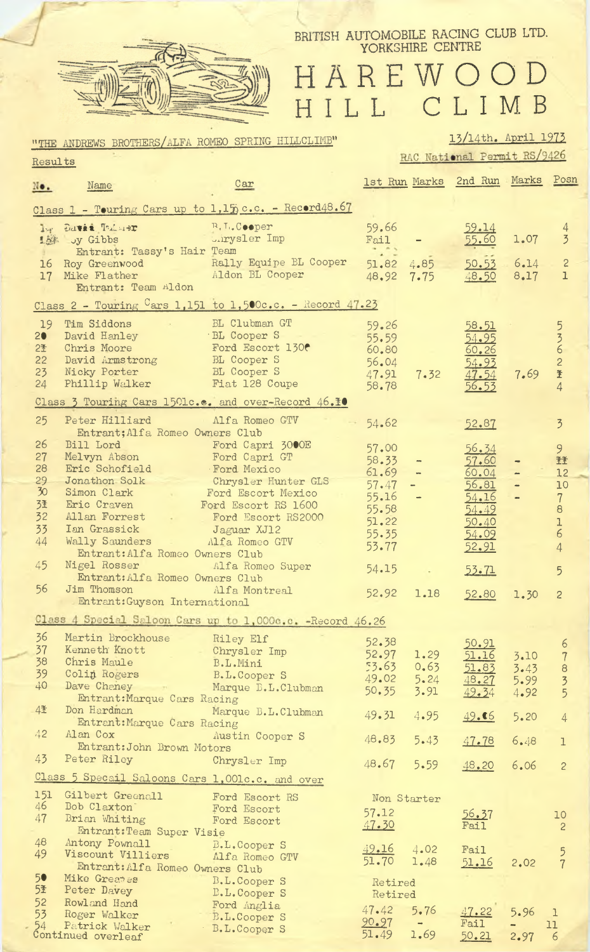

54

Patrick Walker

Continued overleaf

## BRITISH AUTOMOBILE RACING CLUB LTD. YORKSHIRE CENTRE

HAREWOOD HILL CLIMB

#### 13/14th. April 1973 "THE ANDREWS BROTHERS/ALFA ROMEO SPRING HILLCLIMB" RAC National Permit RS/9426 Results 1st Run Marks 2nd Run Marks Posn  $Car$ Name  $No.$ Class 1 - Touring Cars up to 1,15 c.c. - Record48.67 198 DAVIS TREADE R. L. Cooper 59.66  $\overline{4}$ **Surysler** Imp 55.60 1.07 1. Jy Gibbs Fail  $\overline{3}$ Entrant: Tassy's Hair Team 16 Roy Greenwood Rally Equipe BL Cooper 51.82  $\overline{c}$ 4.85  $6.14$ Aldon BL Cooper 17 Mike Flather  $8.17$ 48.92  $7.75$ 48.50  $\mathbf{I}$ Entrant: Team Aldon Class 2 - Touring Cars 1,151 to 1,500c.c. - Record  $47.23$ BL Clubman GT 19 Tim Siddons  $59.26$ 58.51 5 BL Cooper S David Hanley  $55.59$ <br> $60.80$  $20$  $\frac{3}{6}$ 54.95 Ford Escort 130 Chris Moore  $2*$ <u>60.26</u> BL Cooper S<br>BL Cooper S David Armstrong  $\frac{54.93}{47.54}$ <br> $\frac{47.54}{56.53}$  $22$ 56.04  $\overline{c}$ 47.91 23 Nicky Porter 7.69  $7.32$ 圣 Phillip Walker 24 Fiat 128 Coupe 58.78  $\overline{4}$ Class 3 Touring Cars 1501c.c. and over-Record 46.10 25 Peter Hilliard Alfa Romeo GTV  $-54.62$ 52.87  $\overline{3}$ Entrant; Alfa Romeo Owners Club Bill Lord Nelvyn Abson Nelvyn Abson Ford Capri GT 26 57.00 9 56.34 27 58.33 57.60 王王 Ford Mexico<br>Chrysler Hunter GLS 28 Eric Schofield 61.69 60.04  $12$ Jonathon Solk 29  $57.47$ 56.81  $\ddot{\phantom{1}}$ 10  $55.16$ <br>55.58  $\overline{30}$ Simon Clark<br>Eric Craven Ford Escort Mexico  $54.16$  $\overline{7}$ Eric Craven<br>
Ford Escort RS 1600<br>
Allan Forrest Ford Escort RS 2000<br>
Ian Grassick Jaguar XJ12<br>
Wally Saunders Alfa Romeo GTV 3社 8 54.49  $32$ 51.22 50.40  $\mathbf{I}$ 33  $55.35$ 6 54.09  $44$ 53.77 52.91  $\overline{4}$ Entrant: Alfa Romeo Owners Club Nigel Rosser Alfa Romeo Super 45 54.15  $53.71$ 5 Entrant: Alfa Romeo Owners Club 56 Jim Thomson Mifa Montreal  $52.92$ 1.18 52.80  $1.30$  $\overline{c}$ Entrant:Guyson International Class 4 Special Saloon Cars up to 1,000c.c. -Record 46.26 36 Martin Brockhouse Riley Elf 52.38 50.91 6 37 Kenneth Knott Chrysler Imp 52.97 1.29 51.16  $\overline{7}$ 3.10 Chris Maule 53.63 38 B.L.Mini  $0.63$ 51.83  $3.43$  $\theta$ Colin Rogers<br>Dave Chaney 39 B.L.Cooper S 49.02  $5.24$ 5.99 48.27  $\overline{3}$ 40 Marque B.L.Clubman 50.35 3.91 49.34 4.92 5 Entrant: Marque Cars Racing 4圣 Don Hardman and the state of the state of the state of the state of the state of the state of the state of the Marque B.L.Clubman 49.31 4.95  $49.66$  $5.20$  $\overline{\Lambda}$ Entrant: Marque Cars Racing  $42$ Alan Cox Austin Cooper S 48.83  $5.43$ 47.78  $6.48$  $\overline{\phantom{a}}$ Entrant: John Brown Motors 43 Peter Riley Chrysler Imp 48.67 5.59 48.20 6.06  $\overline{c}$ Class 5 Specail Saloons Cars 1,001c.c. and over Gilbert Greenall 151 Ford Escort RS Non Starter Bob Claxton Ford Escort<br>Brian Whiting Ford Escort 46  $57.12$  $56.37$ 10 47 47.30 Fail  $\overline{2}$ Entrant: Team Super Visie Antony Pownall B.L.Cooper S<br>
Viscount Villiers Alfa Romeo GTV 48 49.16 4.02 Fail<sup>1</sup> 5 49 51.70 1.48  $51.16$  $2,02$ Entrant: Alfa Romeo Owners Club Mike Greates<br>
B.L.Cooper S<br>
Pater Determined by L.Cooper S 50 Retired<br>Retired 5季 Peter Davey **B.L.Cooper S** Ford Anglia<br>B.L.Cooper S<br>B.L.Cooper S 52 Rowland Hand  $47.42$  $5.76$  $\overline{53}$ 5.96  $\mathbb{R}$ Roger Walker

 $90.97$ 

 $51.49$ 

 $\sim 10^{-1}$ 

1.69

Fail

50.21

11

6

2.97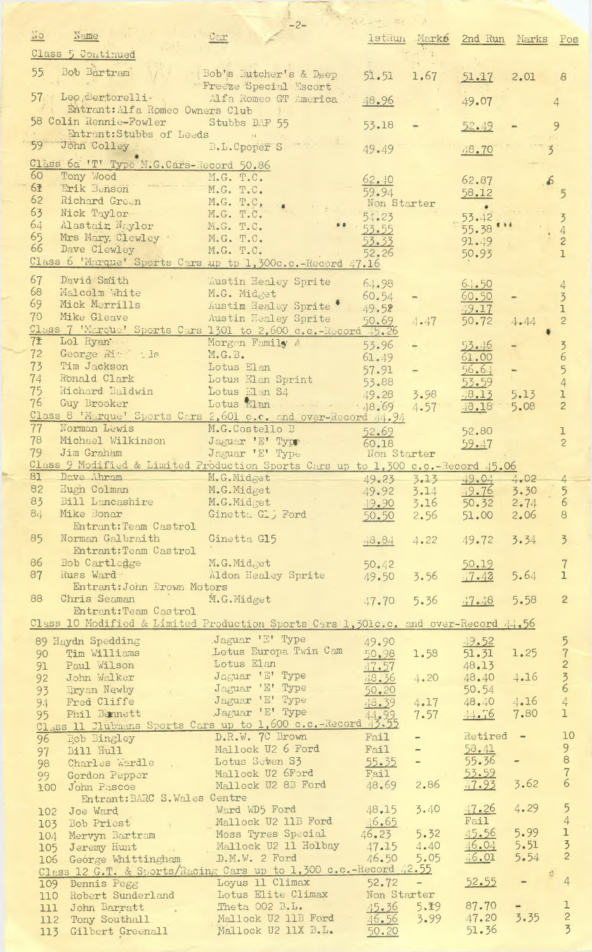|                 |                                         | $-2-$                                                                                                |             |                          |                            |        |                 |
|-----------------|-----------------------------------------|------------------------------------------------------------------------------------------------------|-------------|--------------------------|----------------------------|--------|-----------------|
| $\frac{1}{2}$   | Name                                    | $C \subset \mathbb{C}$                                                                               |             |                          | IstRun Marks 2nd Run Marks |        | Pos             |
|                 |                                         |                                                                                                      |             |                          |                            |        |                 |
|                 | Class 5 Continued                       |                                                                                                      |             |                          |                            |        |                 |
| 55 <sup>2</sup> | Bob Bartram                             |                                                                                                      |             |                          |                            |        |                 |
|                 |                                         | Bob's Butcher's & Deep                                                                               | 51.51       | 1.67                     | 51.17                      | 2.01   | 8               |
|                 |                                         | Freeze Special Escort                                                                                |             |                          |                            |        |                 |
|                 | 57 Leo Bertorelli                       | Alfa Romeo GT America                                                                                | 48.96       |                          | 49.07                      |        | $\overline{4}$  |
|                 | Entrant: Alfa Romeo Owners Club         | 7.1                                                                                                  |             |                          |                            |        |                 |
|                 | 58 Colin Rennie-Fowler Stubbs DAF 55    |                                                                                                      | 53.18       |                          |                            |        | 9               |
|                 | Entrant:Stubbs of Leeds                 |                                                                                                      |             |                          | 52.49                      |        |                 |
| 59              | John Colley                             |                                                                                                      |             |                          |                            |        |                 |
|                 |                                         | B.L. Cpoper S                                                                                        | 49.49       |                          | 48.70                      |        | $\overline{5}$  |
|                 | Class 6a 'T' Type M.G.Cars-Record 50.86 |                                                                                                      |             |                          |                            |        |                 |
| 60              | Tony Wood                               |                                                                                                      |             |                          |                            |        |                 |
|                 |                                         | M.G. T.C.                                                                                            | 62.40       |                          | 62.87                      |        |                 |
| 6季              | Erik Benson                             | M.G. T.C.                                                                                            | 59.94       |                          | 58.12                      |        |                 |
| 62              | Richard Green                           | M.G. T.C,                                                                                            | Non Starter |                          | $\bullet$                  |        |                 |
| 63              | Nick Taylor                             | M.G. T.C.                                                                                            | 54.23       |                          | 53.42                      |        |                 |
| 64              | Mastair, Naylor                         | M.G. T.C.                                                                                            |             |                          |                            |        |                 |
| 65              | Mrs Mary. Clewley                       |                                                                                                      | 53.55       |                          | 55.38                      |        | 4               |
| 66              |                                         | $M_{\bullet}G_{\bullet}$ $T_{\bullet}C_{\bullet}$                                                    | 53.33       |                          | 91.49                      |        | $\overline{c}$  |
|                 | Dave Clewley                            | M.G. T.C.                                                                                            | 52.26       |                          | 50.93                      |        | $\overline{1}$  |
|                 |                                         | Class 6 'Marque' Sports Cars up tp 1,300c.c.-Record 47.16                                            |             |                          |                            |        |                 |
|                 |                                         |                                                                                                      |             |                          |                            |        |                 |
| 67              | David Smith                             | <b>Austin Healey Sprite</b>                                                                          | 64.98       |                          | 6.1.50                     |        | 4               |
| 68              | Malcolm White                           | M.G. Midget                                                                                          | 60.54       |                          | 60.50                      |        | $\overline{3}$  |
| 69              | Mick Merrills                           | Austin Healey Sprite                                                                                 | $-49.52$    |                          | 49.17                      |        | ı               |
| 70              | Mike Gleave                             | Austin Healey Sprite                                                                                 |             |                          |                            |        |                 |
|                 |                                         | Class 7 'Marque' Sports Cars 1301 to 2,600 c.c.-Record 45.26                                         | 50.69       | 4.47                     | 50.72                      | 4.44   | $\overline{c}$  |
|                 |                                         |                                                                                                      |             |                          |                            |        |                 |
| 7 <b>±</b>      | Lol Ryan -                              | Morgan Family A                                                                                      | 53.96       |                          | $53 - 46$                  |        | $\overline{3}$  |
| 72              | George Rick 11s                         | M.G.B.                                                                                               | 61.49       |                          | 61.00                      |        | 6               |
| 73              | Tim Jackson                             | Lotus Elan                                                                                           | 57.91       |                          | 56.64                      |        | 5               |
| 74              | Ronald Clark                            | Lotus Elan Sprint                                                                                    |             |                          |                            |        |                 |
| 75              |                                         |                                                                                                      | 53.88       |                          | 53.59                      |        | $\overline{4}$  |
|                 | Richard Baldwin                         | Lotus Elan S4                                                                                        | 49.28       | 3.98                     | 48.13                      | 5.13   | ı               |
| 76              | Guy Brooker                             |                                                                                                      |             | 4.57                     | 48.18                      | 5.08   | $\mathbf{2}$    |
|                 |                                         | Class 8 'Marque' Sports Cars 2,601 c.c. and over-Record 4.94                                         |             |                          |                            |        |                 |
| 77              | Norman Lewis                            | M.G.Costello B                                                                                       | 52.69       |                          | 52.80                      |        |                 |
| 78              | Michael Wilkinson                       | Jaguar 'E' Type                                                                                      |             |                          |                            |        |                 |
| 79              | Jim Graham                              |                                                                                                      | 60.18       |                          | 59.47                      |        | $\overline{c}$  |
|                 |                                         | Jaguar 'E' Type                                                                                      | Non Starter |                          |                            |        |                 |
|                 |                                         | Class 9 Modified & Limited Production Sports Cars up to 1,300 c.c.-Record 45.06                      |             |                          |                            |        |                 |
|                 |                                         | 81 Dave Abram M.G.Midget 49.23 3.13 49.04 4.02                                                       |             |                          |                            |        | $^{+}$          |
| 82              | Hugh Colman                             | M.G.Midget                                                                                           | 49.92       | 3.14                     | 49.76                      | 3.30   | $5\overline{)}$ |
| 83              | Bill Lancashire                         | M.G.Midget                                                                                           |             | 3.16                     | 50.32                      | 2.74   | $6\overline{6}$ |
|                 | Mike Bonar                              |                                                                                                      | 19.90       |                          |                            |        |                 |
| 84              |                                         | Ginetta Glj Ford                                                                                     | 50.50       | 2.56                     | 51.00                      | 2.06   | 8               |
|                 | Entrant: Team Castrol                   |                                                                                                      |             |                          |                            |        |                 |
| 85              | Norman Galbraith                        | Ginetta G15                                                                                          | 48.84       | 4.22                     | 49.72                      | 3.34   | $\overline{3}$  |
|                 | Entrant: Team Castrol                   |                                                                                                      |             |                          |                            |        |                 |
| 86              | Bob Cartledge                           | M.G.Midget                                                                                           |             |                          |                            |        |                 |
|                 |                                         |                                                                                                      | 50.42       |                          | 50.19                      |        | $\overline{7}$  |
| 87              | Russ Ward -                             | Aldon Healey Sprite                                                                                  | 49.50       | 3.56                     | 47.43                      | 5.64   | $\mathbf{1}$    |
|                 | Entrant: John Brown Motors              |                                                                                                      |             |                          |                            |        |                 |
| 88              | Chris Seaman                            | M.G.Midget                                                                                           | 47.70       | 5.36                     | 47.48                      | 5.58   | $\overline{c}$  |
|                 | Entrant: Team Castrol                   |                                                                                                      |             |                          |                            |        |                 |
|                 |                                         | Class 10 Modified & Limited Production Sports Cars 1,301c.c. and over-Record 44,56                   |             |                          |                            |        |                 |
|                 |                                         |                                                                                                      |             |                          |                            |        |                 |
|                 | 89 Haydn Spedding                       | Jaguar 'E' Type                                                                                      | 49.90       |                          | 49.52                      |        | 5               |
| 90              | Tim Williams                            | Lotus Europa Twin Cam                                                                                | 50.98       | 1.58                     | 51.31                      | 1.25   | $\overline{7}$  |
| 91              | Paul Wilson<br>$\mathcal{A}$            | Lotus Elan                                                                                           | 47.57       |                          | 48.13                      |        | $\overline{c}$  |
|                 |                                         | Jaguar 'E' Type                                                                                      |             |                          |                            |        |                 |
| 92              | John Walker                             |                                                                                                      | 48.36       | 4.20                     | 48.40                      | 4.16   | $\frac{3}{6}$   |
| 93              | Bryan Newby                             | Jaguar 'E' Type                                                                                      | 50.20       |                          | 50.54                      |        |                 |
| 94              | Fred Cliffe                             | Jaguar 'E' Type                                                                                      | 48.39       | 4.17                     | 48.40                      | 4.16   | $\overline{4}$  |
| 95              | Phil Bennett                            | Jaguar 'E' Type                                                                                      |             | 7.57                     | 44.76                      | 7.80   | $\mathbf{1}$    |
|                 |                                         | 95 Phil Bennett .Jaguar E' Type 14,99<br>Class 11 Clubmans Sports Cars up to 1,600 c.c.-Record 13.55 |             |                          |                            |        |                 |
|                 |                                         | D.R.W. 7C Brown                                                                                      | Fail        | $\qquad \qquad -$        | Retired                    | $\sim$ | 10              |
| 96              | Bob Bingley                             |                                                                                                      |             |                          |                            |        | $\overline{9}$  |
| 97              | Bill Hull                               | Mallock U2 6 Ford                                                                                    | Fail        | $\overline{\phantom{a}}$ | 53.41                      |        |                 |
| 98              | Charles wardle                          | Lotus Seten S3                                                                                       | 55.35       | $\equiv$                 | 55.36                      |        | $\mathbf{8}$    |
| 99              | Gordon Pepper                           | Mallock U2 6Ford                                                                                     | Fail        |                          | 53.59                      |        | $\frac{7}{6}$   |
| 100             | John Pascoe                             | Mallock U2 8B Ford                                                                                   | 48.69       | 2.86                     | 47.93                      | 3.62   |                 |
|                 | Entrant: BARC S. Wales Centre           |                                                                                                      |             |                          |                            |        |                 |
|                 |                                         | Ward WD5 Ford                                                                                        | 48.15       | 3.40                     | 47.26                      | 4.29   |                 |
|                 | 102 Joe Ward                            |                                                                                                      |             |                          |                            |        | $\frac{5}{4}$   |
|                 | 103 Bob Priest                          | Mallock U2 11B Ford                                                                                  | 46.65       |                          | Fail                       |        |                 |
|                 | 104 Mervyn Bartram                      | Moss Tyres Special                                                                                   | 46.23       | 5.32                     | 45.56                      | 5.99   | $\mathbf 1$     |
|                 | 105 Jeremy Hunt<br><b>Contractor</b>    | Mallock U2 11 Holbay                                                                                 | 47.15       | 4.40                     | 46.04                      | 5.51   | $\frac{3}{2}$   |
|                 | 106 George Whittingham                  | D.M.W. 2 Ford                                                                                        | 46.50       | 5.05                     | 46.01                      | 5.54   |                 |
|                 |                                         | Class 12 G.T. & Sports/Racing Cars up to 1,300 c.c.-Record 42.55                                     |             |                          |                            |        |                 |
|                 |                                         |                                                                                                      |             |                          |                            |        | 4               |
|                 | 109 Dennis Pegg                         | Loyus 11 Climax                                                                                      | 52.72       | $\overline{\phantom{a}}$ | 52.55                      |        |                 |
|                 | 110 Robert Sunderland                   | Lotus Elite Climax                                                                                   | Non Starter |                          |                            |        |                 |
|                 | 111 John Barratt                        | Theta 002 B.L.                                                                                       |             | $45.36$ 5.19             | 87.70                      |        | I.              |
|                 | 112 Tony Southall                       | Mallock U2 11B Ford                                                                                  | 46.56       | 3.99                     | 47.20                      | 3.35   | $\frac{2}{3}$   |
|                 | 113 Gilbert Greenall                    | Mallock U2 11X B.L.                                                                                  | 50.20       |                          | 51.36                      |        |                 |
|                 |                                         |                                                                                                      |             |                          |                            |        |                 |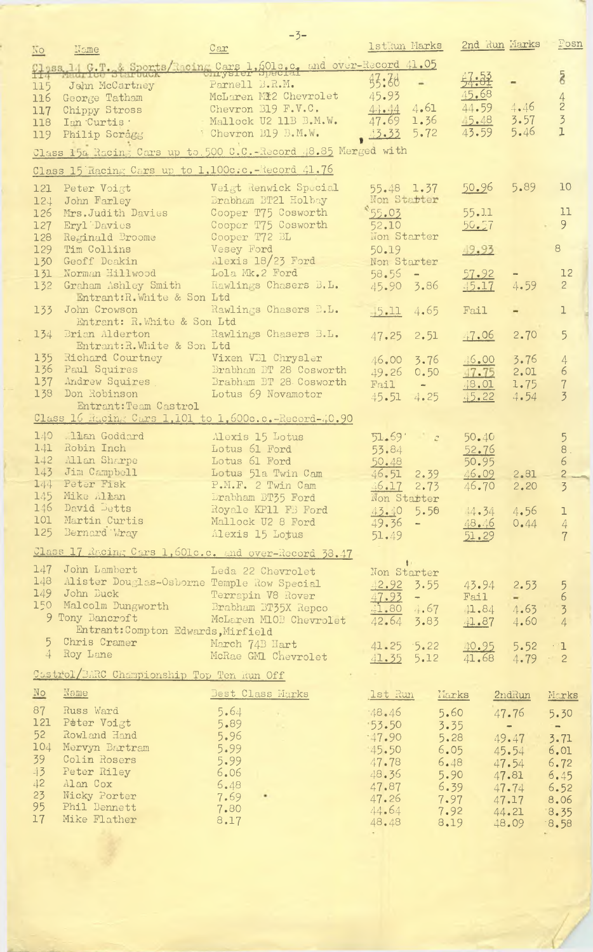|                         |                                                   | $-3-$                                                              |                 |                                                                                                                                                                                                                                                                                                                                                                                              |               |                                               |                |
|-------------------------|---------------------------------------------------|--------------------------------------------------------------------|-----------------|----------------------------------------------------------------------------------------------------------------------------------------------------------------------------------------------------------------------------------------------------------------------------------------------------------------------------------------------------------------------------------------------|---------------|-----------------------------------------------|----------------|
|                         | Name                                              | Car                                                                | Istkun Marks    |                                                                                                                                                                                                                                                                                                                                                                                              | 2nd Run Marks |                                               | Fosn           |
| 10                      |                                                   |                                                                    |                 |                                                                                                                                                                                                                                                                                                                                                                                              |               |                                               |                |
|                         |                                                   | Class 14 F.T. & Sports/Racing Cars 1,6010.c. and over-Record 41.05 |                 |                                                                                                                                                                                                                                                                                                                                                                                              |               |                                               |                |
|                         |                                                   |                                                                    |                 |                                                                                                                                                                                                                                                                                                                                                                                              |               |                                               | $\overline{8}$ |
| 115                     | John McCartney                                    | Parnell B.R.M.                                                     | 钙: 38           |                                                                                                                                                                                                                                                                                                                                                                                              | 47.52         |                                               |                |
| 116                     | George Tatham                                     | McLaren Mi2 Chevrolet                                              | 45.93           |                                                                                                                                                                                                                                                                                                                                                                                              | 45.68         |                                               |                |
|                         |                                                   | Chevron B19 F.V.C.                                                 | 4.1.44          | 4.61                                                                                                                                                                                                                                                                                                                                                                                         | 44.59         | 4.46                                          | $\frac{4}{2}$  |
| 117                     | Chippy Stross                                     |                                                                    |                 |                                                                                                                                                                                                                                                                                                                                                                                              |               | 3.57                                          | $\overline{3}$ |
| 118                     | Ian Curtis .                                      | Mallock U2 11B B.M.W.                                              | 47.69           | 1.36                                                                                                                                                                                                                                                                                                                                                                                         | $-5.48$       |                                               |                |
| 119                     | Philip Scragg                                     | Chevron E19 B.M.W.                                                 | 3.33            | 5.72                                                                                                                                                                                                                                                                                                                                                                                         | 43.59         | 5.46                                          | $\mathbf{I}$   |
|                         |                                                   |                                                                    |                 |                                                                                                                                                                                                                                                                                                                                                                                              |               |                                               |                |
|                         |                                                   | Class 15a Racing Cars up to 500 C.C.-Record 48.85 Merged with      |                 |                                                                                                                                                                                                                                                                                                                                                                                              |               |                                               |                |
|                         |                                                   |                                                                    |                 |                                                                                                                                                                                                                                                                                                                                                                                              |               |                                               |                |
|                         | Class 15 Racing Cars up to 1.100c.c. Record 41.76 |                                                                    |                 |                                                                                                                                                                                                                                                                                                                                                                                              |               |                                               |                |
| 121                     | Peter Voigt                                       | Veigt Renwick Special                                              | $55.48$ 1.37    |                                                                                                                                                                                                                                                                                                                                                                                              | 50.96         | 5.89                                          | 10             |
|                         |                                                   | Brabham BT21 Holbay                                                | Non Starter     |                                                                                                                                                                                                                                                                                                                                                                                              |               |                                               |                |
| 124                     | John Farley                                       |                                                                    |                 |                                                                                                                                                                                                                                                                                                                                                                                              |               |                                               |                |
| 126                     | Mrs. Judith Davies                                | Cooper T75 Cosworth                                                | 55.03           |                                                                                                                                                                                                                                                                                                                                                                                              | 55.11         |                                               | 11             |
| 127                     | Eryl Davies                                       | Cooper T75 Cosworth                                                | 52.10           |                                                                                                                                                                                                                                                                                                                                                                                              | 50.57         |                                               | 9              |
| 128                     | Reginald Broome                                   | Cooper T72 BL                                                      | Non Starter     |                                                                                                                                                                                                                                                                                                                                                                                              |               |                                               |                |
| 129                     | Tim Collins                                       | Vesey Ford                                                         | 50.19           |                                                                                                                                                                                                                                                                                                                                                                                              | 49.93         |                                               | 8              |
| 130                     | Geoff Deakin                                      | Alexis $18/23$ Ford                                                | Non Starter     |                                                                                                                                                                                                                                                                                                                                                                                              |               |                                               |                |
|                         |                                                   |                                                                    |                 |                                                                                                                                                                                                                                                                                                                                                                                              |               |                                               |                |
| 131                     | Norman Hillwood                                   | Lola Mk.2 Ford                                                     | $58.55 -$       |                                                                                                                                                                                                                                                                                                                                                                                              | 57.92         |                                               | 12             |
| 132                     | Graham Ashley Smith                               | Rawlings Chasers B.L.                                              | 45.90 3.86      |                                                                                                                                                                                                                                                                                                                                                                                              | 45.17         | 4.59                                          | $\overline{2}$ |
|                         | Entrant: R. White & Son Ltd                       |                                                                    |                 |                                                                                                                                                                                                                                                                                                                                                                                              |               |                                               |                |
| 133                     | John Crowson                                      | Rawlings Chasers B.L.                                              | $-15.11$        | 4.65                                                                                                                                                                                                                                                                                                                                                                                         | Fail          |                                               | ı              |
|                         | Entrant: R. White & Son Ltd                       |                                                                    |                 |                                                                                                                                                                                                                                                                                                                                                                                              |               |                                               |                |
|                         |                                                   |                                                                    |                 |                                                                                                                                                                                                                                                                                                                                                                                              |               |                                               |                |
| 134                     | Brian Alderton                                    | Rawlings Chasers B.L.                                              | 47.25           | 2.51                                                                                                                                                                                                                                                                                                                                                                                         | 47.06         | 2.70                                          | 5              |
|                         | Entrant: R. White & Son Ltd                       |                                                                    |                 |                                                                                                                                                                                                                                                                                                                                                                                              |               |                                               |                |
| 135                     | Richard Courtney Vixen VB1 Chrysler               |                                                                    | 46.00           | 3.76                                                                                                                                                                                                                                                                                                                                                                                         | 46.00         | 3.76                                          | 4              |
| 136                     | Paul Squires                                      | Brabham BT 28 Cosworth                                             | 49.26           | 0.50                                                                                                                                                                                                                                                                                                                                                                                         | 47.75         | 2.01                                          | 6              |
| 137                     | Andrew Squires                                    | Brabham BT 28 Cosworth                                             |                 |                                                                                                                                                                                                                                                                                                                                                                                              |               |                                               |                |
|                         |                                                   |                                                                    | Fail            | $\frac{1}{2} \frac{1}{2} \frac{1}{2} \frac{1}{2} \frac{1}{2} \frac{1}{2} \frac{1}{2} \frac{1}{2} \frac{1}{2} \frac{1}{2} \frac{1}{2} \frac{1}{2} \frac{1}{2} \frac{1}{2} \frac{1}{2} \frac{1}{2} \frac{1}{2} \frac{1}{2} \frac{1}{2} \frac{1}{2} \frac{1}{2} \frac{1}{2} \frac{1}{2} \frac{1}{2} \frac{1}{2} \frac{1}{2} \frac{1}{2} \frac{1}{2} \frac{1}{2} \frac{1}{2} \frac{1}{2} \frac{$ | .18.01        | 1.75                                          | $\overline{7}$ |
| 138                     | Don Robinson                                      | Lotus 69 Novamotor                                                 | 45.51 4.25      |                                                                                                                                                                                                                                                                                                                                                                                              | $-15.22$      | 4.54                                          | $\overline{3}$ |
|                         | Entrant: Team Castrol                             |                                                                    |                 |                                                                                                                                                                                                                                                                                                                                                                                              |               |                                               |                |
|                         |                                                   | Class 16 Racing Cars 1,101 to 1,600c.c. -Record-40.90              |                 |                                                                                                                                                                                                                                                                                                                                                                                              |               |                                               |                |
|                         |                                                   |                                                                    |                 |                                                                                                                                                                                                                                                                                                                                                                                              |               |                                               |                |
| 140                     | 11an Goddard                                      | Alexis 15 Lotus                                                    | 51.59           | $\mathcal{L}$                                                                                                                                                                                                                                                                                                                                                                                | 50.40         |                                               | 5              |
| 141                     | Robin Inch                                        | Lotus 61 Ford                                                      | 53.84           |                                                                                                                                                                                                                                                                                                                                                                                              | 52.76         |                                               | $8$ .          |
| 142                     | Allan Sharpe                                      | Lotus 61 Ford                                                      | 50.48           |                                                                                                                                                                                                                                                                                                                                                                                              | 50.95         |                                               | 6              |
| 143                     | Jim Campbell                                      | Lotus 51a Twin Cam                                                 | 46.51           | 2.39                                                                                                                                                                                                                                                                                                                                                                                         | 46.09         | 2.81                                          | $\overline{c}$ |
| 144                     | Peter Fisk                                        | P.M.F. 2 Twin Cam                                                  |                 |                                                                                                                                                                                                                                                                                                                                                                                              |               |                                               |                |
|                         |                                                   |                                                                    | 46.17 2.73      |                                                                                                                                                                                                                                                                                                                                                                                              | 46.70         | 2.20                                          | $\overline{3}$ |
| 145                     | Mike Allan                                        | Drabham BT35 Ford                                                  | Non Starter     |                                                                                                                                                                                                                                                                                                                                                                                              |               |                                               |                |
| 146                     | David Detts                                       | Royale KP11 FB Ford                                                |                 | $43.40$ 5.50                                                                                                                                                                                                                                                                                                                                                                                 | $4.34$ 4.56   |                                               | ı              |
| 101                     | Martin Curtis                                     | Mallock U2 8 Ford                                                  | $49.36 -$       |                                                                                                                                                                                                                                                                                                                                                                                              | 48.46         | 0.44                                          | 4              |
| 125                     | Bernard Wray                                      | Alexis 15 Lotus                                                    | 51.49           |                                                                                                                                                                                                                                                                                                                                                                                              | 51.29         |                                               | $\overline{7}$ |
|                         |                                                   |                                                                    |                 |                                                                                                                                                                                                                                                                                                                                                                                              |               |                                               |                |
|                         |                                                   | Class 17 Racing Cars 1, 601c.c. and over-Record 38.47              |                 |                                                                                                                                                                                                                                                                                                                                                                                              |               |                                               |                |
|                         |                                                   |                                                                    | $\mathbf{t}$    |                                                                                                                                                                                                                                                                                                                                                                                              |               |                                               |                |
| 147                     | John Lambert                                      | Leda 22 Chevrolet                                                  | Non Starter     |                                                                                                                                                                                                                                                                                                                                                                                              |               |                                               |                |
| 148                     | Alister Douglas-Osborne Temple Row Special        |                                                                    | $42.92$ 3.55    |                                                                                                                                                                                                                                                                                                                                                                                              | 43.94         | 2.53                                          | 5              |
|                         | 149 John Buck                                     | Terrapin V8 Rover                                                  | 47.93           | <b>All Control</b>                                                                                                                                                                                                                                                                                                                                                                           | Fail          | $\frac{1}{2}$ , $\frac{1}{2}$ , $\frac{1}{2}$ | $\epsilon$     |
|                         | 150 Malcolm Dungworth                             | Brabham BT35X Repco                                                |                 |                                                                                                                                                                                                                                                                                                                                                                                              |               |                                               |                |
|                         |                                                   |                                                                    | 41.804.67       |                                                                                                                                                                                                                                                                                                                                                                                              | 41.84         | 4.63                                          | $\overline{3}$ |
|                         | 9 Tony Bancroft                                   | McLaren MIOB Chevrolet                                             | 42.64 3.83      |                                                                                                                                                                                                                                                                                                                                                                                              | $-1.87$       | 4.60                                          | $\overline{4}$ |
|                         | Entrant: Compton Edwards, Mirfield                |                                                                    |                 |                                                                                                                                                                                                                                                                                                                                                                                              |               |                                               |                |
| 5 <sup>5</sup>          | Chris Cramer Christen and Christ                  | March 74B Hart                                                     | $41.25 \t 5.22$ |                                                                                                                                                                                                                                                                                                                                                                                              | 40.95         | $5.52 \t1$                                    |                |
| 4 <sup>°</sup>          | Roy Lane                                          | McRae GM1 Chevrolet                                                | $-41.35$ 5.12   |                                                                                                                                                                                                                                                                                                                                                                                              | 41.68         | 4.79                                          | $\cdot$ 2      |
|                         |                                                   |                                                                    |                 |                                                                                                                                                                                                                                                                                                                                                                                              |               |                                               |                |
|                         | Castrol/BARC Championship Top Ten Run Off         |                                                                    |                 |                                                                                                                                                                                                                                                                                                                                                                                              |               |                                               |                |
|                         |                                                   |                                                                    |                 |                                                                                                                                                                                                                                                                                                                                                                                              |               |                                               |                |
| $\underline{\text{No}}$ | Name                                              | Best Class Marks                                                   | 1st Run         | Marks                                                                                                                                                                                                                                                                                                                                                                                        |               | 2ndRun                                        | Marks          |
|                         |                                                   |                                                                    |                 |                                                                                                                                                                                                                                                                                                                                                                                              |               |                                               |                |
| 87                      | Russ Ward                                         | 5.64                                                               | 48.46           | 5.60                                                                                                                                                                                                                                                                                                                                                                                         |               | 47.76                                         | 5.30           |
| 121                     | Peter Voigt                                       | 5.89                                                               | 53.50           | 3.35                                                                                                                                                                                                                                                                                                                                                                                         |               | $\sim$                                        | $\sim$         |
| 52                      | Rowland Hand                                      | 5.96                                                               | $-47.90$        | 5.28                                                                                                                                                                                                                                                                                                                                                                                         |               | 49.47                                         | 3.71           |
| 104                     | Mervyn Bartram                                    | 5.99                                                               | 45.50           | 6.05                                                                                                                                                                                                                                                                                                                                                                                         |               | 45.54                                         | 6.01           |
| 39                      | Colin Rosers                                      | 5.99                                                               |                 |                                                                                                                                                                                                                                                                                                                                                                                              |               |                                               |                |
|                         |                                                   |                                                                    | 47.78           | 6.48                                                                                                                                                                                                                                                                                                                                                                                         |               | 47.54                                         | 6.72           |
| 43                      | Peter Riley                                       | 6.06                                                               | 48.36           | 5.90                                                                                                                                                                                                                                                                                                                                                                                         |               | 47.81                                         | 6.45           |
| 42                      | Alan Cox                                          | 5.48                                                               | 47.87           |                                                                                                                                                                                                                                                                                                                                                                                              | 6.39          | 47.74                                         | 6.52           |
| 23                      | Nicky Porter                                      | 7.69<br>٠                                                          | 47.26           |                                                                                                                                                                                                                                                                                                                                                                                              | 7.97          | 47.17                                         | 8.06           |
| 95                      | Phil Bennett                                      | 7.80                                                               | 44.64           |                                                                                                                                                                                                                                                                                                                                                                                              | 7.92          | 44.21                                         | 8.35           |
| 17                      | Mike Flather                                      | 8.17                                                               | 48.48           |                                                                                                                                                                                                                                                                                                                                                                                              |               |                                               |                |
|                         |                                                   |                                                                    |                 | 8.19                                                                                                                                                                                                                                                                                                                                                                                         |               | 48.09                                         | 8.58           |
|                         |                                                   |                                                                    |                 |                                                                                                                                                                                                                                                                                                                                                                                              |               |                                               |                |